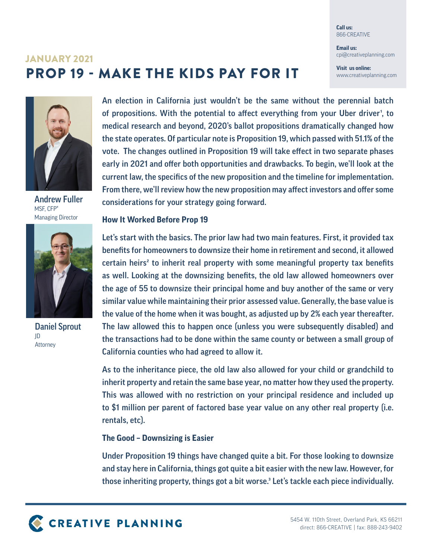**Call us:** 866-CREATIVE

**Email us:** cpi@creativeplanning.com

**Visit us online:** www.creativeplanning.com

# PROP 19 - MAKE THE KIDS PAY FOR IT JANUARY 2021



Andrew Fuller MSF, CFP® Managing Director



Daniel Sprout JD Attorney

An election in California just wouldn't be the same without the perennial batch of propositions. With the potential to affect everything from your Uber driver', to medical research and beyond, 2020's ballot propositions dramatically changed how the state operates. Of particular note is Proposition 19, which passed with 51.1% of the vote. The changes outlined in Proposition 19 will take effect in two separate phases early in 2021 and offer both opportunities and drawbacks. To begin, we'll look at the current law, the specifics of the new proposition and the timeline for implementation. From there, we'll review how the new proposition may affect investors and offer some considerations for your strategy going forward.

# **How It Worked Before Prop 19**

Let's start with the basics. The prior law had two main features. First, it provided tax benefits for homeowners to downsize their home in retirement and second, it allowed  $c$ ertain heirs<sup>2</sup> to inherit real property with some meaningful property tax benefits as well. Looking at the downsizing benefits, the old law allowed homeowners over the age of 55 to downsize their principal home and buy another of the same or very similar value while maintaining their prior assessed value. Generally, the base value is the value of the home when it was bought, as adjusted up by 2% each year thereafter. The law allowed this to happen once (unless you were subsequently disabled) and the transactions had to be done within the same county or between a small group of California counties who had agreed to allow it.

As to the inheritance piece, the old law also allowed for your child or grandchild to inherit property and retain the same base year, no matter how they used the property. This was allowed with no restriction on your principal residence and included up to \$1 million per parent of factored base year value on any other real property (i.e. rentals, etc).

# **The Good – Downsizing is Easier**

Under Proposition 19 things have changed quite a bit. For those looking to downsize and stay here in California, things got quite a bit easier with the new law. However, for those inheriting property, things got a bit worse.<sup>3</sup> Let's tackle each piece individually.

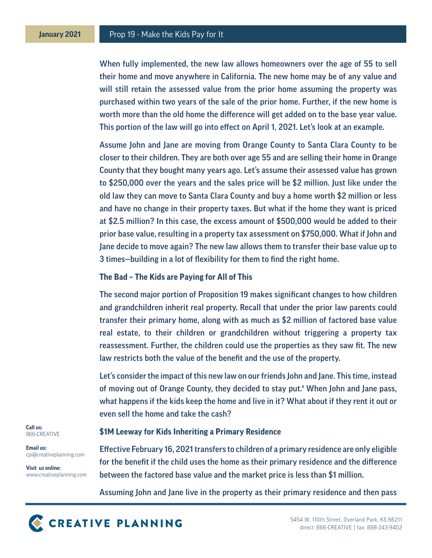When fully implemented, the new law allows homeowners over the age of 55 to sell their home and move anywhere in California. The new home may be of any value and will still retain the assessed value from the prior home assuming the property was purchased within two years of the sale of the prior home. Further, if the new home is worth more than the old home the difference will get added on to the base year value. This portion of the law will go into effect on April 1, 2021. Let's look at an example.

Assume John and Jane are moving from Orange County to Santa Clara County to be closer to their children. They are both over age 55 and are selling their home in Orange County that they bought many years ago. Let's assume their assessed value has grown to \$250,000 over the years and the sales price will be \$2 million. Just like under the old law they can move to Santa Clara County and buy a home worth \$2 million or less and have no change in their property taxes. But what if the home they want is priced at \$2.5 million? In this case, the excess amount of \$500,000 would be added to their prior base value, resulting in a property tax assessment on \$750,000. What if John and Jane decide to move again? The new law allows them to transfer their base value up to 3 times—building in a lot of flexibility for them to find the right home.

#### **The Bad – The Kids are Paying for All of This**

The second major portion of Proposition 19 makes significant changes to how children and grandchildren inherit real property. Recall that under the prior law parents could transfer their primary home, along with as much as \$2 million of factored base value real estate, to their children or grandchildren without triggering a property tax reassessment. Further, the children could use the properties as they saw fit. The new law restricts both the value of the benefit and the use of the property.

Let's consider the impact of this new law on our friends John and Jane. This time, instead of moving out of Orange County, they decided to stay put.4 When John and Jane pass, what happens if the kids keep the home and live in it? What about if they rent it out or even sell the home and take the cash?

## **\$1M Leeway for Kids Inheriting a Primary Residence**

Effective February 16, 2021 transfers to children of a primary residence are only eligible for the benefit if the child uses the home as their primary residence and the difference between the factored base value and the market price is less than \$1 million.

Assuming John and Jane live in the property as their primary residence and then pass



**Email us:** cpi@creativeplanning.com

**Visit us online:** www.creativeplanning.com

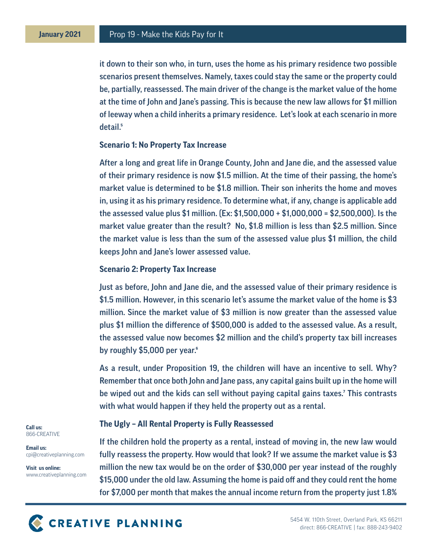it down to their son who, in turn, uses the home as his primary residence two possible scenarios present themselves. Namely, taxes could stay the same or the property could be, partially, reassessed. The main driver of the change is the market value of the home at the time of John and Jane's passing. This is because the new law allows for \$1 million of leeway when a child inherits a primary residence. Let's look at each scenario in more detail.<sup>5</sup>

#### **Scenario 1: No Property Tax Increase**

After a long and great life in Orange County, John and Jane die, and the assessed value of their primary residence is now \$1.5 million. At the time of their passing, the home's market value is determined to be \$1.8 million. Their son inherits the home and moves in, using it as his primary residence. To determine what, if any, change is applicable add the assessed value plus \$1 million. (Ex: \$1,500,000 + \$1,000,000 = \$2,500,000). Is the market value greater than the result? No, \$1.8 million is less than \$2.5 million. Since the market value is less than the sum of the assessed value plus \$1 million, the child keeps John and Jane's lower assessed value.

#### **Scenario 2: Property Tax Increase**

Just as before, John and Jane die, and the assessed value of their primary residence is \$1.5 million. However, in this scenario let's assume the market value of the home is \$3 million. Since the market value of \$3 million is now greater than the assessed value plus \$1 million the difference of \$500,000 is added to the assessed value. As a result, the assessed value now becomes \$2 million and the child's property tax bill increases by roughly \$5,000 per year.<sup>6</sup>

As a result, under Proposition 19, the children will have an incentive to sell. Why? Remember that once both John and Jane pass, any capital gains built up in the home will be wiped out and the kids can sell without paying capital gains taxes.<sup>7</sup> This contrasts with what would happen if they held the property out as a rental.

## **The Ugly – All Rental Property is Fully Reassessed**

If the children hold the property as a rental, instead of moving in, the new law would fully reassess the property. How would that look? If we assume the market value is \$3 million the new tax would be on the order of \$30,000 per year instead of the roughly \$15,000 under the old law. Assuming the home is paid off and they could rent the home for \$7,000 per month that makes the annual income return from the property just 1.8%

**Call us:** 866-CREATIVE

**Email us:** cpi@creativeplanning.com

**Visit us online:** www.creativeplanning.com

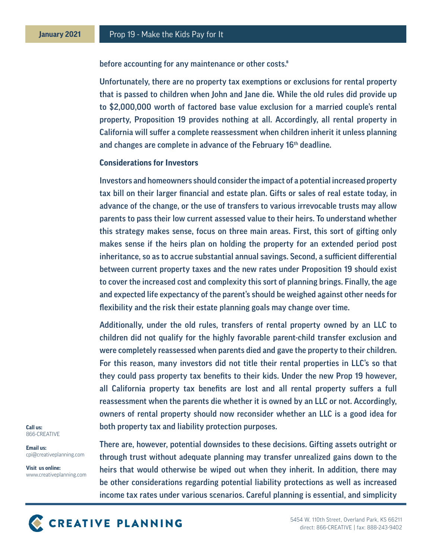before accounting for any maintenance or other costs.<sup>8</sup>

Unfortunately, there are no property tax exemptions or exclusions for rental property that is passed to children when John and Jane die. While the old rules did provide up to \$2,000,000 worth of factored base value exclusion for a married couple's rental property, Proposition 19 provides nothing at all. Accordingly, all rental property in California will suffer a complete reassessment when children inherit it unless planning and changes are complete in advance of the February 16<sup>th</sup> deadline.

## **Considerations for Investors**

Investors and homeowners should consider the impact of a potential increased property tax bill on their larger financial and estate plan. Gifts or sales of real estate today, in advance of the change, or the use of transfers to various irrevocable trusts may allow parents to pass their low current assessed value to their heirs. To understand whether this strategy makes sense, focus on three main areas. First, this sort of gifting only makes sense if the heirs plan on holding the property for an extended period post inheritance, so as to accrue substantial annual savings. Second, a sufficient differential between current property taxes and the new rates under Proposition 19 should exist to cover the increased cost and complexity this sort of planning brings. Finally, the age and expected life expectancy of the parent's should be weighed against other needs for flexibility and the risk their estate planning goals may change over time.

Additionally, under the old rules, transfers of rental property owned by an LLC to children did not qualify for the highly favorable parent-child transfer exclusion and were completely reassessed when parents died and gave the property to their children. For this reason, many investors did not title their rental properties in LLC's so that they could pass property tax benefits to their kids. Under the new Prop 19 however, all California property tax benefits are lost and all rental property suffers a full reassessment when the parents die whether it is owned by an LLC or not. Accordingly, owners of rental property should now reconsider whether an LLC is a good idea for both property tax and liability protection purposes.

**Call us:** 866-CREATIVE

**Email us:** cpi@creativeplanning.com

**Visit us online:** www.creativeplanning.com

There are, however, potential downsides to these decisions. Gifting assets outright or through trust without adequate planning may transfer unrealized gains down to the heirs that would otherwise be wiped out when they inherit. In addition, there may be other considerations regarding potential liability protections as well as increased income tax rates under various scenarios. Careful planning is essential, and simplicity